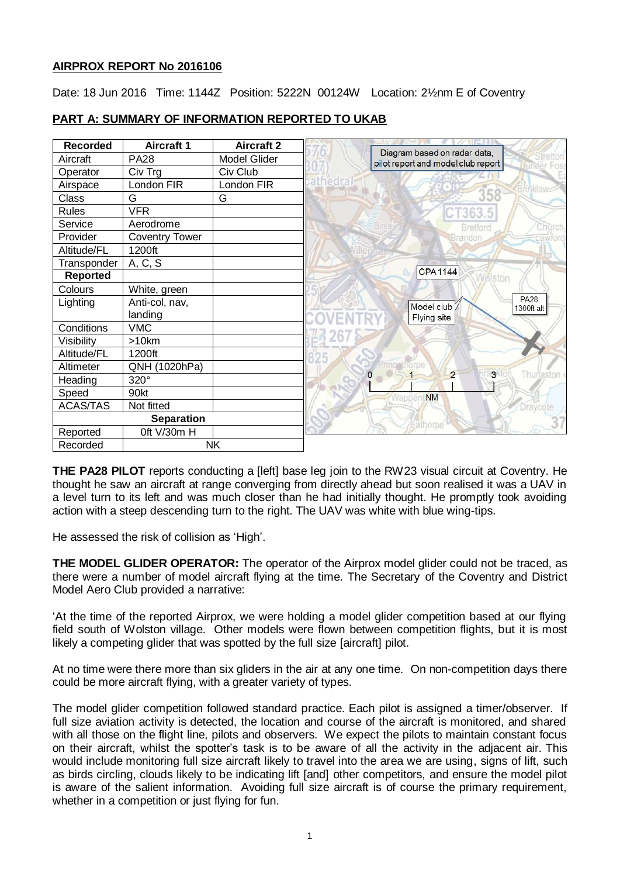## **AIRPROX REPORT No 2016106**

Date: 18 Jun 2016 Time: 1144Z Position: 5222N 00124W Location: 2½nm E of Coventry

| Recorded          | <b>Aircraft 1</b>     | <b>Aircraft 2</b>   |                                                                    |
|-------------------|-----------------------|---------------------|--------------------------------------------------------------------|
| Aircraft          | <b>PA28</b>           | <b>Model Glider</b> | Diagram based on radar data,<br>pilot report and model club report |
| Operator          | Civ Trg               | Civ Club            |                                                                    |
| Airspace          | London FIR            | London FIR          | athedra                                                            |
| Class             | G                     | G                   | 358                                                                |
| <b>Rules</b>      | <b>VFR</b>            |                     | 363.5                                                              |
| Service           | Aerodrome             |                     | Bretford<br><b>Cinural</b>                                         |
| Provider          | <b>Coventry Tower</b> |                     | Brandor                                                            |
| Altitude/FL       | 1200ft                |                     |                                                                    |
| Transponder       | A, C, S               |                     |                                                                    |
| <b>Reported</b>   |                       |                     | <b>CPA1144</b><br><b>biston</b>                                    |
| Colours           | White, green          |                     |                                                                    |
| Lighting          | Anti-col, nav,        |                     | <b>PA28</b><br>Model club<br>1300ft alt                            |
|                   | landing               |                     | <b>Flying site</b>                                                 |
| Conditions        | <b>VMC</b>            |                     |                                                                    |
| Visibility        | $>10$ km              |                     |                                                                    |
| Altitude/FL       | 1200ft                |                     |                                                                    |
| Altimeter         | QNH (1020hPa)         |                     |                                                                    |
| Heading           | 320°                  |                     | Thurjaston <<br>$\overline{2}$<br>3                                |
| Speed             | 90kt                  |                     | <b>NM</b>                                                          |
| <b>ACAS/TAS</b>   | Not fitted            |                     | Draycote                                                           |
| <b>Separation</b> |                       |                     | Eathorpe                                                           |
| Reported          | 0ft V/30m H           |                     |                                                                    |
| Recorded          | <b>NK</b>             |                     |                                                                    |

# **PART A: SUMMARY OF INFORMATION REPORTED TO UKAB**

**THE PA28 PILOT** reports conducting a [left] base leg join to the RW23 visual circuit at Coventry. He thought he saw an aircraft at range converging from directly ahead but soon realised it was a UAV in a level turn to its left and was much closer than he had initially thought. He promptly took avoiding action with a steep descending turn to the right. The UAV was white with blue wing-tips.

He assessed the risk of collision as 'High'.

**THE MODEL GLIDER OPERATOR:** The operator of the Airprox model glider could not be traced, as there were a number of model aircraft flying at the time. The Secretary of the Coventry and District Model Aero Club provided a narrative:

'At the time of the reported Airprox, we were holding a model glider competition based at our flying field south of Wolston village. Other models were flown between competition flights, but it is most likely a competing glider that was spotted by the full size [aircraft] pilot.

At no time were there more than six gliders in the air at any one time. On non-competition days there could be more aircraft flying, with a greater variety of types.

The model glider competition followed standard practice. Each pilot is assigned a timer/observer. If full size aviation activity is detected, the location and course of the aircraft is monitored, and shared with all those on the flight line, pilots and observers. We expect the pilots to maintain constant focus on their aircraft, whilst the spotter's task is to be aware of all the activity in the adjacent air. This would include monitoring full size aircraft likely to travel into the area we are using, signs of lift, such as birds circling, clouds likely to be indicating lift [and] other competitors, and ensure the model pilot is aware of the salient information. Avoiding full size aircraft is of course the primary requirement, whether in a competition or just flying for fun.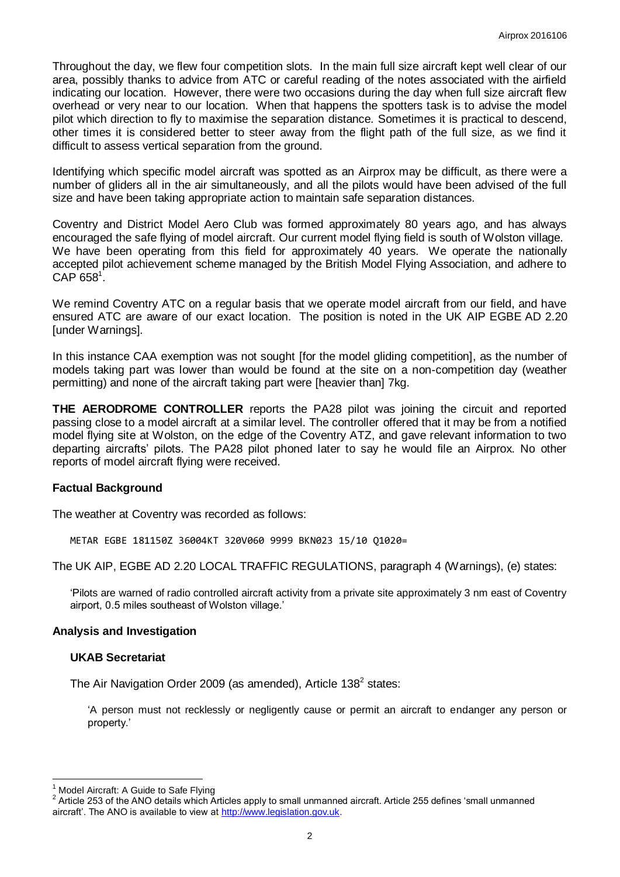Throughout the day, we flew four competition slots. In the main full size aircraft kept well clear of our area, possibly thanks to advice from ATC or careful reading of the notes associated with the airfield indicating our location. However, there were two occasions during the day when full size aircraft flew overhead or very near to our location. When that happens the spotters task is to advise the model pilot which direction to fly to maximise the separation distance. Sometimes it is practical to descend, other times it is considered better to steer away from the flight path of the full size, as we find it difficult to assess vertical separation from the ground.

Identifying which specific model aircraft was spotted as an Airprox may be difficult, as there were a number of gliders all in the air simultaneously, and all the pilots would have been advised of the full size and have been taking appropriate action to maintain safe separation distances.

Coventry and District Model Aero Club was formed approximately 80 years ago, and has always encouraged the safe flying of model aircraft. Our current model flying field is south of Wolston village. We have been operating from this field for approximately 40 years. We operate the nationally accepted pilot achievement scheme managed by the British Model Flying Association, and adhere to  $\mathsf{CAP}\ 658^1$ .

We remind Coventry ATC on a regular basis that we operate model aircraft from our field, and have ensured ATC are aware of our exact location. The position is noted in the UK AIP EGBE AD 2.20 [under Warnings].

In this instance CAA exemption was not sought [for the model gliding competition], as the number of models taking part was lower than would be found at the site on a non-competition day (weather permitting) and none of the aircraft taking part were [heavier than] 7kg.

**THE AERODROME CONTROLLER** reports the PA28 pilot was joining the circuit and reported passing close to a model aircraft at a similar level. The controller offered that it may be from a notified model flying site at Wolston, on the edge of the Coventry ATZ, and gave relevant information to two departing aircrafts' pilots. The PA28 pilot phoned later to say he would file an Airprox. No other reports of model aircraft flying were received.

#### **Factual Background**

The weather at Coventry was recorded as follows:

METAR EGBE 181150Z 36004KT 320V060 9999 BKN023 15/10 Q1020=

The UK AIP, EGBE AD 2.20 LOCAL TRAFFIC REGULATIONS, paragraph 4 (Warnings), (e) states:

'Pilots are warned of radio controlled aircraft activity from a private site approximately 3 nm east of Coventry airport, 0.5 miles southeast of Wolston village.'

#### **Analysis and Investigation**

#### **UKAB Secretariat**

The Air Navigation Order 2009 (as amended), Article 138<sup>2</sup> states:

'A person must not recklessly or negligently cause or permit an aircraft to endanger any person or property.'

 $\overline{\phantom{a}}$ Model Aircraft: A Guide to Safe Flying

<sup>2</sup> Article 253 of the ANO details which Articles apply to small unmanned aircraft. Article 255 defines 'small unmanned aircraft'. The ANO is available to view a[t http://www.legislation.gov.uk.](http://www.legislation.gov.uk/)